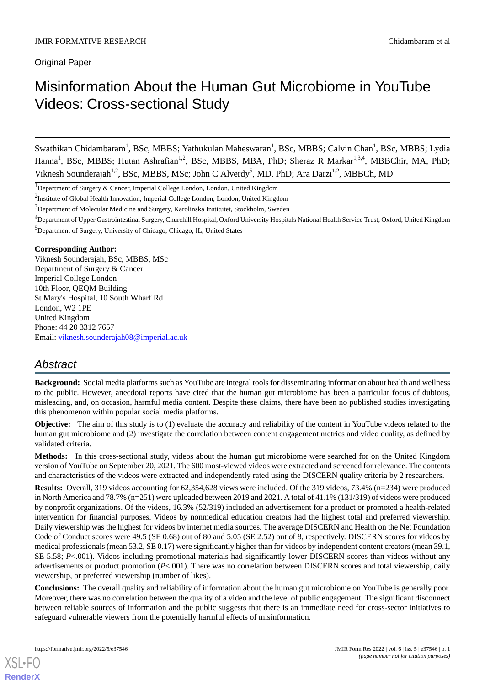Original Paper

# Misinformation About the Human Gut Microbiome in YouTube Videos: Cross-sectional Study

Swathikan Chidambaram<sup>1</sup>, BSc, MBBS; Yathukulan Maheswaran<sup>1</sup>, BSc, MBBS; Calvin Chan<sup>1</sup>, BSc, MBBS; Lydia Hanna<sup>1</sup>, BSc, MBBS; Hutan Ashrafian<sup>1,2</sup>, BSc, MBBS, MBA, PhD; Sheraz R Markar<sup>1,3,4</sup>, MBBChir, MA, PhD; Viknesh Sounderajah<sup>1,2</sup>, BSc, MBBS, MSc; John C Alverdy<sup>5</sup>, MD, PhD; Ara Darzi<sup>1,2</sup>, MBBCh, MD

<sup>1</sup>Department of Surgery & Cancer, Imperial College London, London, United Kingdom

<sup>2</sup>Institute of Global Health Innovation, Imperial College London, London, United Kingdom

<sup>3</sup>Department of Molecular Medicine and Surgery, Karolinska Institutet, Stockholm, Sweden

<sup>4</sup>Department of Upper Gastrointestinal Surgery, Churchill Hospital, Oxford University Hospitals National Health Service Trust, Oxford, United Kingdom <sup>5</sup>Department of Surgery, University of Chicago, Chicago, IL, United States

#### **Corresponding Author:**

Viknesh Sounderajah, BSc, MBBS, MSc Department of Surgery & Cancer Imperial College London 10th Floor, QEQM Building St Mary's Hospital, 10 South Wharf Rd London, W2 1PE United Kingdom Phone: 44 20 3312 7657 Email: [viknesh.sounderajah08@imperial.ac.uk](mailto:viknesh.sounderajah08@imperial.ac.uk)

# *Abstract*

**Background:** Social media platforms such as YouTube are integral tools for disseminating information about health and wellness to the public. However, anecdotal reports have cited that the human gut microbiome has been a particular focus of dubious, misleading, and, on occasion, harmful media content. Despite these claims, there have been no published studies investigating this phenomenon within popular social media platforms.

**Objective:** The aim of this study is to (1) evaluate the accuracy and reliability of the content in YouTube videos related to the human gut microbiome and (2) investigate the correlation between content engagement metrics and video quality, as defined by validated criteria.

**Methods:** In this cross-sectional study, videos about the human gut microbiome were searched for on the United Kingdom version of YouTube on September 20, 2021. The 600 most-viewed videos were extracted and screened for relevance. The contents and characteristics of the videos were extracted and independently rated using the DISCERN quality criteria by 2 researchers.

**Results:** Overall, 319 videos accounting for 62,354,628 views were included. Of the 319 videos, 73.4% (n=234) were produced in North America and 78.7% (n=251) were uploaded between 2019 and 2021. A total of 41.1% (131/319) of videos were produced by nonprofit organizations. Of the videos, 16.3% (52/319) included an advertisement for a product or promoted a health-related intervention for financial purposes. Videos by nonmedical education creators had the highest total and preferred viewership. Daily viewership was the highest for videos by internet media sources. The average DISCERN and Health on the Net Foundation Code of Conduct scores were 49.5 (SE 0.68) out of 80 and 5.05 (SE 2.52) out of 8, respectively. DISCERN scores for videos by medical professionals (mean 53.2, SE 0.17) were significantly higher than for videos by independent content creators (mean 39.1, SE 5.58; *P*<.001). Videos including promotional materials had significantly lower DISCERN scores than videos without any advertisements or product promotion (*P*<.001). There was no correlation between DISCERN scores and total viewership, daily viewership, or preferred viewership (number of likes).

**Conclusions:** The overall quality and reliability of information about the human gut microbiome on YouTube is generally poor. Moreover, there was no correlation between the quality of a video and the level of public engagement. The significant disconnect between reliable sources of information and the public suggests that there is an immediate need for cross-sector initiatives to safeguard vulnerable viewers from the potentially harmful effects of misinformation.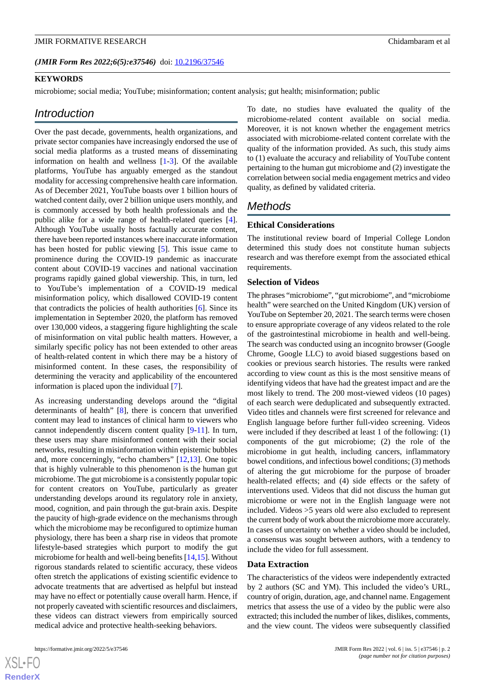#### **KEYWORDS**

microbiome; social media; YouTube; misinformation; content analysis; gut health; misinformation; public

#### *Introduction*

Over the past decade, governments, health organizations, and private sector companies have increasingly endorsed the use of social media platforms as a trusted means of disseminating information on health and wellness [[1](#page-8-0)[-3](#page-8-1)]. Of the available platforms, YouTube has arguably emerged as the standout modality for accessing comprehensive health care information. As of December 2021, YouTube boasts over 1 billion hours of watched content daily, over 2 billion unique users monthly, and is commonly accessed by both health professionals and the public alike for a wide range of health-related queries [[4\]](#page-8-2). Although YouTube usually hosts factually accurate content, there have been reported instances where inaccurate information has been hosted for public viewing [[5\]](#page-8-3). This issue came to prominence during the COVID-19 pandemic as inaccurate content about COVID-19 vaccines and national vaccination programs rapidly gained global viewership. This, in turn, led to YouTube's implementation of a COVID-19 medical misinformation policy, which disallowed COVID-19 content that contradicts the policies of health authorities [\[6](#page-8-4)]. Since its implementation in September 2020, the platform has removed over 130,000 videos, a staggering figure highlighting the scale of misinformation on vital public health matters. However, a similarly specific policy has not been extended to other areas of health-related content in which there may be a history of misinformed content. In these cases, the responsibility of determining the veracity and applicability of the encountered information is placed upon the individual [\[7](#page-8-5)].

As increasing understanding develops around the "digital determinants of health" [[8\]](#page-8-6), there is concern that unverified content may lead to instances of clinical harm to viewers who cannot independently discern content quality [\[9](#page-8-7)-[11\]](#page-8-8). In turn, these users may share misinformed content with their social networks, resulting in misinformation within epistemic bubbles and, more concerningly, "echo chambers" [\[12](#page-8-9)[,13](#page-8-10)]. One topic that is highly vulnerable to this phenomenon is the human gut microbiome. The gut microbiome is a consistently popular topic for content creators on YouTube, particularly as greater understanding develops around its regulatory role in anxiety, mood, cognition, and pain through the gut-brain axis. Despite the paucity of high-grade evidence on the mechanisms through which the microbiome may be reconfigured to optimize human physiology, there has been a sharp rise in videos that promote lifestyle-based strategies which purport to modify the gut microbiome for health and well-being benefits [\[14](#page-9-0),[15\]](#page-9-1). Without rigorous standards related to scientific accuracy, these videos often stretch the applications of existing scientific evidence to advocate treatments that are advertised as helpful but instead may have no effect or potentially cause overall harm. Hence, if not properly caveated with scientific resources and disclaimers, these videos can distract viewers from empirically sourced medical advice and protective health-seeking behaviors.

To date, no studies have evaluated the quality of the microbiome-related content available on social media. Moreover, it is not known whether the engagement metrics associated with microbiome-related content correlate with the quality of the information provided. As such, this study aims to (1) evaluate the accuracy and reliability of YouTube content pertaining to the human gut microbiome and (2) investigate the correlation between social media engagement metrics and video quality, as defined by validated criteria.

# *Methods*

#### **Ethical Considerations**

The institutional review board of Imperial College London determined this study does not constitute human subjects research and was therefore exempt from the associated ethical requirements.

#### **Selection of Videos**

The phrases "microbiome", "gut microbiome", and "microbiome health" were searched on the United Kingdom (UK) version of YouTube on September 20, 2021. The search terms were chosen to ensure appropriate coverage of any videos related to the role of the gastrointestinal microbiome in health and well-being. The search was conducted using an incognito browser (Google Chrome, Google LLC) to avoid biased suggestions based on cookies or previous search histories. The results were ranked according to view count as this is the most sensitive means of identifying videos that have had the greatest impact and are the most likely to trend. The 200 most-viewed videos (10 pages) of each search were deduplicated and subsequently extracted. Video titles and channels were first screened for relevance and English language before further full-video screening. Videos were included if they described at least 1 of the following: (1) components of the gut microbiome; (2) the role of the microbiome in gut health, including cancers, inflammatory bowel conditions, and infectious bowel conditions; (3) methods of altering the gut microbiome for the purpose of broader health-related effects; and (4) side effects or the safety of interventions used. Videos that did not discuss the human gut microbiome or were not in the English language were not included. Videos >5 years old were also excluded to represent the current body of work about the microbiome more accurately. In cases of uncertainty on whether a video should be included, a consensus was sought between authors, with a tendency to include the video for full assessment.

#### **Data Extraction**

The characteristics of the videos were independently extracted by 2 authors (SC and YM). This included the video's URL, country of origin, duration, age, and channel name. Engagement metrics that assess the use of a video by the public were also extracted; this included the number of likes, dislikes, comments, and the view count. The videos were subsequently classified



 $XS$  • FO **[RenderX](http://www.renderx.com/)**

https://formative.jmir.org/2022/5/e37546 JMIR Form Res 2022 | vol. 6 | iss. 5 | e37546 | p. 2 *(page number not for citation purposes)*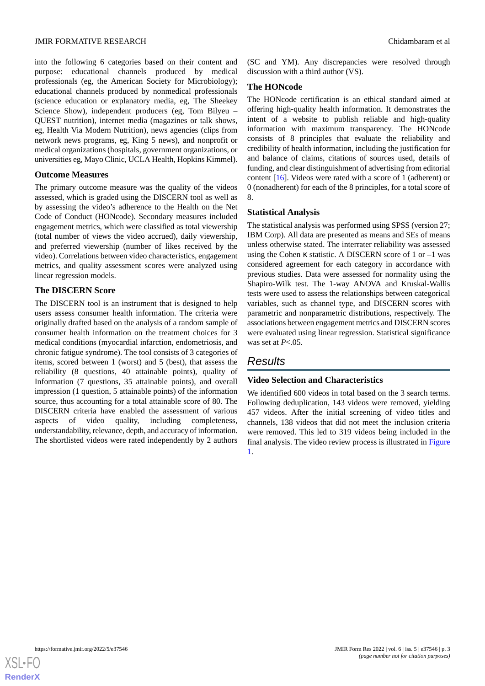into the following 6 categories based on their content and purpose: educational channels produced by medical professionals (eg, the American Society for Microbiology); educational channels produced by nonmedical professionals (science education or explanatory media, eg, The Sheekey Science Show), independent producers (eg, Tom Bilyeu – QUEST nutrition), internet media (magazines or talk shows, eg, Health Via Modern Nutrition), news agencies (clips from network news programs, eg, King 5 news), and nonprofit or medical organizations (hospitals, government organizations, or universities eg, Mayo Clinic, UCLA Health, Hopkins Kimmel).

#### **Outcome Measures**

The primary outcome measure was the quality of the videos assessed, which is graded using the DISCERN tool as well as by assessing the video's adherence to the Health on the Net Code of Conduct (HONcode). Secondary measures included engagement metrics, which were classified as total viewership (total number of views the video accrued), daily viewership, and preferred viewership (number of likes received by the video). Correlations between video characteristics, engagement metrics, and quality assessment scores were analyzed using linear regression models.

# **The DISCERN Score**

The DISCERN tool is an instrument that is designed to help users assess consumer health information. The criteria were originally drafted based on the analysis of a random sample of consumer health information on the treatment choices for 3 medical conditions (myocardial infarction, endometriosis, and chronic fatigue syndrome). The tool consists of 3 categories of items, scored between 1 (worst) and 5 (best), that assess the reliability (8 questions, 40 attainable points), quality of Information (7 questions, 35 attainable points), and overall impression (1 question, 5 attainable points) of the information source, thus accounting for a total attainable score of 80. The DISCERN criteria have enabled the assessment of various aspects of video quality, including completeness, understandability, relevance, depth, and accuracy of information. The shortlisted videos were rated independently by 2 authors

(SC and YM). Any discrepancies were resolved through discussion with a third author (VS).

### **The HONcode**

The HONcode certification is an ethical standard aimed at offering high-quality health information. It demonstrates the intent of a website to publish reliable and high-quality information with maximum transparency. The HONcode consists of 8 principles that evaluate the reliability and credibility of health information, including the justification for and balance of claims, citations of sources used, details of funding, and clear distinguishment of advertising from editorial content [[16\]](#page-9-2). Videos were rated with a score of 1 (adherent) or 0 (nonadherent) for each of the 8 principles, for a total score of 8.

### **Statistical Analysis**

The statistical analysis was performed using SPSS (version 27; IBM Corp). All data are presented as means and SEs of means unless otherwise stated. The interrater reliability was assessed using the Cohen  $\kappa$  statistic. A DISCERN score of 1 or  $-1$  was considered agreement for each category in accordance with previous studies. Data were assessed for normality using the Shapiro-Wilk test. The 1-way ANOVA and Kruskal-Wallis tests were used to assess the relationships between categorical variables, such as channel type, and DISCERN scores with parametric and nonparametric distributions, respectively. The associations between engagement metrics and DISCERN scores were evaluated using linear regression. Statistical significance was set at *P*<.05.

# *Results*

# **Video Selection and Characteristics**

We identified 600 videos in total based on the 3 search terms. Following deduplication, 143 videos were removed, yielding 457 videos. After the initial screening of video titles and channels, 138 videos that did not meet the inclusion criteria were removed. This led to 319 videos being included in the final analysis. The video review process is illustrated in [Figure](#page-3-0) [1.](#page-3-0)

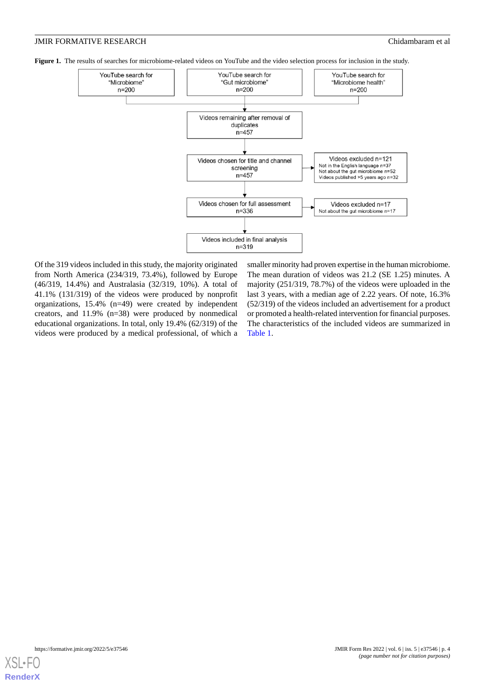<span id="page-3-0"></span>**Figure 1.** The results of searches for microbiome-related videos on YouTube and the video selection process for inclusion in the study.



Of the 319 videos included in this study, the majority originated from North America (234/319, 73.4%), followed by Europe (46/319, 14.4%) and Australasia (32/319, 10%). A total of 41.1% (131/319) of the videos were produced by nonprofit organizations, 15.4% (n=49) were created by independent creators, and 11.9% (n=38) were produced by nonmedical educational organizations. In total, only 19.4% (62/319) of the videos were produced by a medical professional, of which a smaller minority had proven expertise in the human microbiome. The mean duration of videos was 21.2 (SE 1.25) minutes. A majority (251/319, 78.7%) of the videos were uploaded in the last 3 years, with a median age of 2.22 years. Of note, 16.3% (52/319) of the videos included an advertisement for a product or promoted a health-related intervention for financial purposes. The characteristics of the included videos are summarized in [Table 1](#page-4-0).

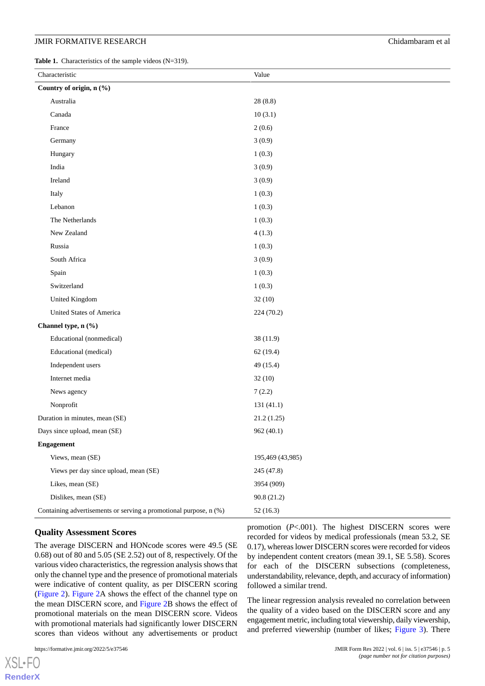<span id="page-4-0"></span>**Table 1.** Characteristics of the sample videos (N=319).

| Characteristic                                                    | Value            |
|-------------------------------------------------------------------|------------------|
|                                                                   |                  |
| Country of origin, n (%)                                          |                  |
| Australia                                                         | 28(8.8)          |
| Canada                                                            | 10(3.1)          |
| France                                                            | 2(0.6)           |
| Germany                                                           | 3(0.9)           |
| Hungary                                                           | 1(0.3)           |
| India                                                             | 3(0.9)           |
| Ireland                                                           | 3(0.9)           |
| Italy                                                             | 1(0.3)           |
| Lebanon                                                           | 1(0.3)           |
| The Netherlands                                                   | 1(0.3)           |
| New Zealand                                                       | 4(1.3)           |
| Russia                                                            | 1(0.3)           |
| South Africa                                                      | 3(0.9)           |
| Spain                                                             | 1(0.3)           |
| Switzerland                                                       | 1(0.3)           |
| United Kingdom                                                    | 32(10)           |
| United States of America                                          | 224 (70.2)       |
| Channel type, n (%)                                               |                  |
| Educational (nonmedical)                                          | 38 (11.9)        |
| Educational (medical)                                             | 62(19.4)         |
| Independent users                                                 | 49 (15.4)        |
| Internet media                                                    | 32(10)           |
| News agency                                                       | 7(2.2)           |
| Nonprofit                                                         | 131 (41.1)       |
| Duration in minutes, mean (SE)                                    | 21.2(1.25)       |
| Days since upload, mean (SE)                                      | 962 (40.1)       |
| <b>Engagement</b>                                                 |                  |
| Views, mean (SE)                                                  | 195,469 (43,985) |
| Views per day since upload, mean (SE)                             | 245 (47.8)       |
| Likes, mean (SE)                                                  | 3954 (909)       |
| Dislikes, mean (SE)                                               | 90.8(21.2)       |
| Containing advertisements or serving a promotional purpose, n (%) | 52(16.3)         |

#### **Quality Assessment Scores**

The average DISCERN and HONcode scores were 49.5 (SE 0.68) out of 80 and 5.05 (SE 2.52) out of 8, respectively. Of the various video characteristics, the regression analysis shows that only the channel type and the presence of promotional materials were indicative of content quality, as per DISCERN scoring ([Figure 2\)](#page-5-0). [Figure 2A](#page-5-0) shows the effect of the channel type on the mean DISCERN score, and [Figure 2B](#page-5-0) shows the effect of promotional materials on the mean DISCERN score. Videos with promotional materials had significantly lower DISCERN scores than videos without any advertisements or product

promotion (*P*<.001). The highest DISCERN scores were recorded for videos by medical professionals (mean 53.2, SE 0.17), whereas lower DISCERN scores were recorded for videos by independent content creators (mean 39.1, SE 5.58). Scores for each of the DISCERN subsections (completeness, understandability, relevance, depth, and accuracy of information) followed a similar trend.

The linear regression analysis revealed no correlation between the quality of a video based on the DISCERN score and any engagement metric, including total viewership, daily viewership, and preferred viewership (number of likes; [Figure 3\)](#page-5-1). There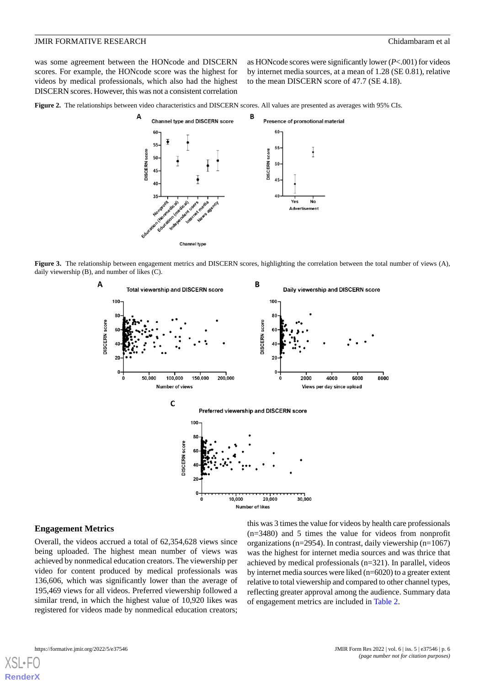was some agreement between the HONcode and DISCERN scores. For example, the HONcode score was the highest for videos by medical professionals, which also had the highest DISCERN scores. However, this was not a consistent correlation

as HONcode scores were significantly lower (*P*<.001) for videos by internet media sources, at a mean of 1.28 (SE 0.81), relative to the mean DISCERN score of 47.7 (SE 4.18).

<span id="page-5-0"></span>**Figure 2.** The relationships between video characteristics and DISCERN scores. All values are presented as averages with 95% CIs.



<span id="page-5-1"></span>**Figure 3.** The relationship between engagement metrics and DISCERN scores, highlighting the correlation between the total number of views (A), daily viewership (B), and number of likes (C).



#### **Engagement Metrics**

Overall, the videos accrued a total of 62,354,628 views since being uploaded. The highest mean number of views was achieved by nonmedical education creators. The viewership per video for content produced by medical professionals was 136,606, which was significantly lower than the average of 195,469 views for all videos. Preferred viewership followed a similar trend, in which the highest value of 10,920 likes was registered for videos made by nonmedical education creators;

this was 3 times the value for videos by health care professionals (n=3480) and 5 times the value for videos from nonprofit organizations (n=2954). In contrast, daily viewership (n=1067) was the highest for internet media sources and was thrice that achieved by medical professionals (n=321). In parallel, videos by internet media sources were liked (n=6020) to a greater extent relative to total viewership and compared to other channel types, reflecting greater approval among the audience. Summary data of engagement metrics are included in [Table 2.](#page-6-0)

[XSL](http://www.w3.org/Style/XSL)•FO **[RenderX](http://www.renderx.com/)**

https://formative.jmir.org/2022/5/e37546 JMIR Form Res 2022 | vol. 6 | iss. 5 | e37546 | p. 6 *(page number not for citation purposes)*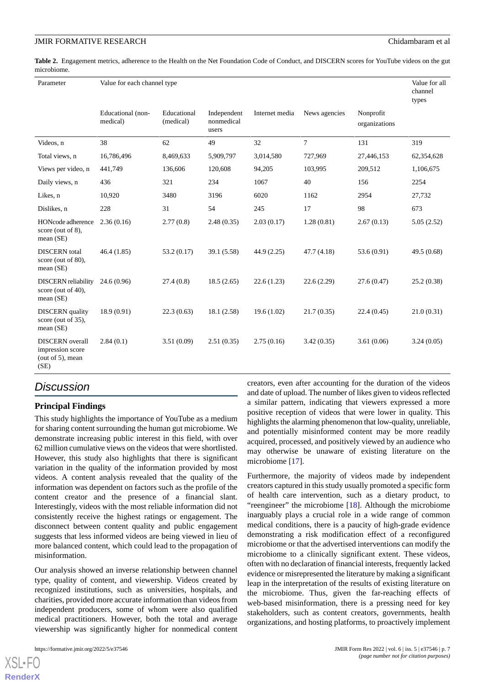<span id="page-6-0"></span>**Table 2.** Engagement metrics, adherence to the Health on the Net Foundation Code of Conduct, and DISCERN scores for YouTube videos on the gut microbiome.

| Parameter                                                              | Value for each channel type   |                          |                                    |                |               |                            |             |
|------------------------------------------------------------------------|-------------------------------|--------------------------|------------------------------------|----------------|---------------|----------------------------|-------------|
|                                                                        | Educational (non-<br>medical) | Educational<br>(medical) | Independent<br>nonmedical<br>users | Internet media | News agencies | Nonprofit<br>organizations |             |
| Videos, n                                                              | 38                            | 62                       | 49                                 | 32             | $\tau$        | 131                        | 319         |
| Total views, n                                                         | 16,786,496                    | 8,469,633                | 5,909,797                          | 3,014,580      | 727,969       | 27,446,153                 | 62,354,628  |
| Views per video, n                                                     | 441,749                       | 136,606                  | 120,608                            | 94,205         | 103,995       | 209,512                    | 1,106,675   |
| Daily views, n                                                         | 436                           | 321                      | 234                                | 1067           | 40            | 156                        | 2254        |
| Likes, n                                                               | 10,920                        | 3480                     | 3196                               | 6020           | 1162          | 2954                       | 27,732      |
| Dislikes, n                                                            | 228                           | 31                       | 54                                 | 245            | 17            | 98                         | 673         |
| HONcode adherence<br>score (out of $8$ ).<br>mean $(SE)$               | 2.36(0.16)                    | 2.77(0.8)                | 2.48(0.35)                         | 2.03(0.17)     | 1.28(0.81)    | 2.67(0.13)                 | 5.05(2.52)  |
| <b>DISCERN</b> total<br>score (out of 80),<br>mean $(SE)$              | 46.4(1.85)                    | 53.2(0.17)               | 39.1 (5.58)                        | 44.9 (2.25)    | 47.7(4.18)    | 53.6 (0.91)                | 49.5 (0.68) |
| <b>DISCERN</b> reliability<br>score (out of $40$ ),<br>mean $(SE)$     | 24.6 (0.96)                   | 27.4(0.8)                | 18.5(2.65)                         | 22.6(1.23)     | 22.6(2.29)    | 27.6(0.47)                 | 25.2(0.38)  |
| <b>DISCERN</b> quality<br>score (out of 35),<br>mean $(SE)$            | 18.9(0.91)                    | 22.3(0.63)               | 18.1(2.58)                         | 19.6(1.02)     | 21.7(0.35)    | 22.4(0.45)                 | 21.0(0.31)  |
| <b>DISCERN</b> overall<br>impression score<br>(out of 5), mean<br>(SE) | 2.84(0.1)                     | 3.51(0.09)               | 2.51(0.35)                         | 2.75(0.16)     | 3.42(0.35)    | 3.61(0.06)                 | 3.24(0.05)  |

# *Discussion*

### **Principal Findings**

This study highlights the importance of YouTube as a medium for sharing content surrounding the human gut microbiome. We demonstrate increasing public interest in this field, with over 62 million cumulative views on the videos that were shortlisted. However, this study also highlights that there is significant variation in the quality of the information provided by most videos. A content analysis revealed that the quality of the information was dependent on factors such as the profile of the content creator and the presence of a financial slant. Interestingly, videos with the most reliable information did not consistently receive the highest ratings or engagement. The disconnect between content quality and public engagement suggests that less informed videos are being viewed in lieu of more balanced content, which could lead to the propagation of misinformation.

Our analysis showed an inverse relationship between channel type, quality of content, and viewership. Videos created by recognized institutions, such as universities, hospitals, and charities, provided more accurate information than videos from independent producers, some of whom were also qualified medical practitioners. However, both the total and average viewership was significantly higher for nonmedical content

[XSL](http://www.w3.org/Style/XSL)•FO **[RenderX](http://www.renderx.com/)**

creators, even after accounting for the duration of the videos and date of upload. The number of likes given to videos reflected a similar pattern, indicating that viewers expressed a more positive reception of videos that were lower in quality. This highlights the alarming phenomenon that low-quality, unreliable, and potentially misinformed content may be more readily acquired, processed, and positively viewed by an audience who may otherwise be unaware of existing literature on the microbiome [[17\]](#page-9-3).

Furthermore, the majority of videos made by independent creators captured in this study usually promoted a specific form of health care intervention, such as a dietary product, to "reengineer" the microbiome [[18\]](#page-9-4). Although the microbiome inarguably plays a crucial role in a wide range of common medical conditions, there is a paucity of high-grade evidence demonstrating a risk modification effect of a reconfigured microbiome or that the advertised interventions can modify the microbiome to a clinically significant extent. These videos, often with no declaration of financial interests, frequently lacked evidence or misrepresented the literature by making a significant leap in the interpretation of the results of existing literature on the microbiome. Thus, given the far-reaching effects of web-based misinformation, there is a pressing need for key stakeholders, such as content creators, governments, health organizations, and hosting platforms, to proactively implement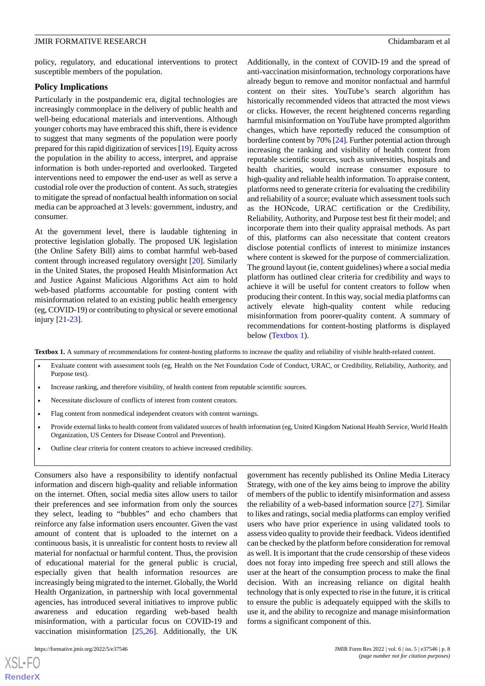policy, regulatory, and educational interventions to protect susceptible members of the population.

#### **Policy Implications**

Particularly in the postpandemic era, digital technologies are increasingly commonplace in the delivery of public health and well-being educational materials and interventions. Although younger cohorts may have embraced this shift, there is evidence to suggest that many segments of the population were poorly prepared for this rapid digitization of services [\[19\]](#page-9-5). Equity across the population in the ability to access, interpret, and appraise information is both under-reported and overlooked. Targeted interventions need to empower the end-user as well as serve a custodial role over the production of content. As such, strategies to mitigate the spread of nonfactual health information on social media can be approached at 3 levels: government, industry, and consumer.

At the government level, there is laudable tightening in protective legislation globally. The proposed UK legislation (the Online Safety Bill) aims to combat harmful web-based content through increased regulatory oversight [[20\]](#page-9-6). Similarly in the United States, the proposed Health Misinformation Act and Justice Against Malicious Algorithms Act aim to hold web-based platforms accountable for posting content with misinformation related to an existing public health emergency (eg, COVID-19) or contributing to physical or severe emotional injury [\[21](#page-9-7)-[23\]](#page-9-8).

Additionally, in the context of COVID-19 and the spread of anti-vaccination misinformation, technology corporations have already begun to remove and monitor nonfactual and harmful content on their sites. YouTube's search algorithm has historically recommended videos that attracted the most views or clicks. However, the recent heightened concerns regarding harmful misinformation on YouTube have prompted algorithm changes, which have reportedly reduced the consumption of borderline content by 70% [[24\]](#page-9-9). Further potential action through increasing the ranking and visibility of health content from reputable scientific sources, such as universities, hospitals and health charities, would increase consumer exposure to high-quality and reliable health information. To appraise content, platforms need to generate criteria for evaluating the credibility and reliability of a source; evaluate which assessment tools such as the HONcode, URAC certification or the Credibility, Reliability, Authority, and Purpose test best fit their model; and incorporate them into their quality appraisal methods. As part of this, platforms can also necessitate that content creators disclose potential conflicts of interest to minimize instances where content is skewed for the purpose of commercialization. The ground layout (ie, content guidelines) where a social media platform has outlined clear criteria for credibility and ways to achieve it will be useful for content creators to follow when producing their content. In this way, social media platforms can actively elevate high-quality content while reducing misinformation from poorer-quality content. A summary of recommendations for content-hosting platforms is displayed below ([Textbox 1\)](#page-7-0).

<span id="page-7-0"></span>**Textbox 1.** A summary of recommendations for content-hosting platforms to increase the quality and reliability of visible health-related content.

- Evaluate content with assessment tools (eg, Health on the Net Foundation Code of Conduct, URAC, or Credibility, Reliability, Authority, and Purpose test).
- Increase ranking, and therefore visibility, of health content from reputable scientific sources.
- Necessitate disclosure of conflicts of interest from content creators.
- Flag content from nonmedical independent creators with content warnings.
- Provide external links to health content from validated sources of health information (eg, United Kingdom National Health Service, World Health Organization, US Centers for Disease Control and Prevention).
- Outline clear criteria for content creators to achieve increased credibility.

Consumers also have a responsibility to identify nonfactual information and discern high-quality and reliable information on the internet. Often, social media sites allow users to tailor their preferences and see information from only the sources they select, leading to "bubbles" and echo chambers that reinforce any false information users encounter. Given the vast amount of content that is uploaded to the internet on a continuous basis, it is unrealistic for content hosts to review all material for nonfactual or harmful content. Thus, the provision of educational material for the general public is crucial, especially given that health information resources are increasingly being migrated to the internet. Globally, the World Health Organization, in partnership with local governmental agencies, has introduced several initiatives to improve public awareness and education regarding web-based health misinformation, with a particular focus on COVID-19 and vaccination misinformation [[25,](#page-9-10)[26](#page-9-11)]. Additionally, the UK

government has recently published its Online Media Literacy Strategy, with one of the key aims being to improve the ability of members of the public to identify misinformation and assess the reliability of a web-based information source [[27\]](#page-9-12). Similar to likes and ratings, social media platforms can employ verified users who have prior experience in using validated tools to assess video quality to provide their feedback. Videos identified can be checked by the platform before consideration for removal as well. It is important that the crude censorship of these videos does not foray into impeding free speech and still allows the user at the heart of the consumption process to make the final decision. With an increasing reliance on digital health technology that is only expected to rise in the future, it is critical to ensure the public is adequately equipped with the skills to use it, and the ability to recognize and manage misinformation forms a significant component of this.

 $XSI - F($ **[RenderX](http://www.renderx.com/)**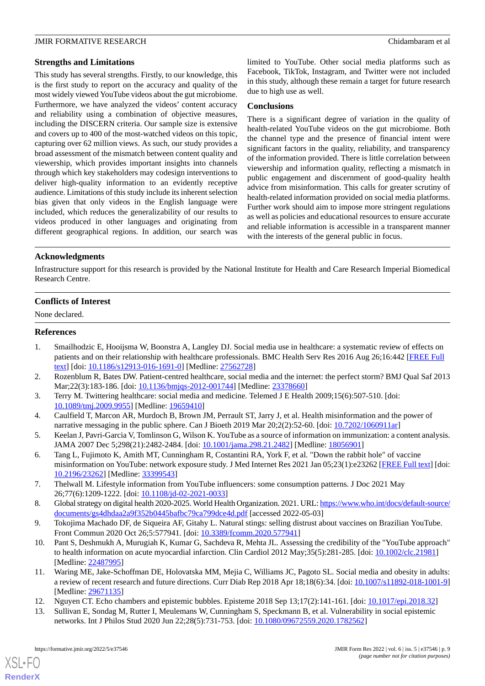#### **Strengths and Limitations**

This study has several strengths. Firstly, to our knowledge, this is the first study to report on the accuracy and quality of the most widely viewed YouTube videos about the gut microbiome. Furthermore, we have analyzed the videos' content accuracy and reliability using a combination of objective measures, including the DISCERN criteria. Our sample size is extensive and covers up to 400 of the most-watched videos on this topic, capturing over 62 million views. As such, our study provides a broad assessment of the mismatch between content quality and viewership, which provides important insights into channels through which key stakeholders may codesign interventions to deliver high-quality information to an evidently receptive audience. Limitations of this study include its inherent selection bias given that only videos in the English language were included, which reduces the generalizability of our results to videos produced in other languages and originating from different geographical regions. In addition, our search was

limited to YouTube. Other social media platforms such as Facebook, TikTok, Instagram, and Twitter were not included in this study, although these remain a target for future research due to high use as well.

#### **Conclusions**

There is a significant degree of variation in the quality of health-related YouTube videos on the gut microbiome. Both the channel type and the presence of financial intent were significant factors in the quality, reliability, and transparency of the information provided. There is little correlation between viewership and information quality, reflecting a mismatch in public engagement and discernment of good-quality health advice from misinformation. This calls for greater scrutiny of health-related information provided on social media platforms. Further work should aim to impose more stringent regulations as well as policies and educational resources to ensure accurate and reliable information is accessible in a transparent manner with the interests of the general public in focus.

### **Acknowledgments**

Infrastructure support for this research is provided by the National Institute for Health and Care Research Imperial Biomedical Research Centre.

### **Conflicts of Interest**

<span id="page-8-0"></span>None declared.

#### **References**

- <span id="page-8-1"></span>1. Smailhodzic E, Hooijsma W, Boonstra A, Langley DJ. Social media use in healthcare: a systematic review of effects on patients and on their relationship with healthcare professionals. BMC Health Serv Res 2016 Aug 26;16:442 [[FREE Full](http://europepmc.org/abstract/MED/27562728) [text](http://europepmc.org/abstract/MED/27562728)] [doi: [10.1186/s12913-016-1691-0\]](http://dx.doi.org/10.1186/s12913-016-1691-0) [Medline: [27562728](http://www.ncbi.nlm.nih.gov/entrez/query.fcgi?cmd=Retrieve&db=PubMed&list_uids=27562728&dopt=Abstract)]
- <span id="page-8-2"></span>2. Rozenblum R, Bates DW. Patient-centred healthcare, social media and the internet: the perfect storm? BMJ Qual Saf 2013 Mar; 22(3):183-186. [doi: [10.1136/bmjqs-2012-001744](http://dx.doi.org/10.1136/bmjqs-2012-001744)] [Medline: [23378660](http://www.ncbi.nlm.nih.gov/entrez/query.fcgi?cmd=Retrieve&db=PubMed&list_uids=23378660&dopt=Abstract)]
- <span id="page-8-3"></span>3. Terry M. Twittering healthcare: social media and medicine. Telemed J E Health 2009;15(6):507-510. [doi: [10.1089/tmj.2009.9955](http://dx.doi.org/10.1089/tmj.2009.9955)] [Medline: [19659410\]](http://www.ncbi.nlm.nih.gov/entrez/query.fcgi?cmd=Retrieve&db=PubMed&list_uids=19659410&dopt=Abstract)
- <span id="page-8-4"></span>4. Caulfield T, Marcon AR, Murdoch B, Brown JM, Perrault ST, Jarry J, et al. Health misinformation and the power of narrative messaging in the public sphere. Can J Bioeth 2019 Mar 20;2(2):52-60. [doi: [10.7202/1060911ar](http://dx.doi.org/10.7202/1060911ar)]
- <span id="page-8-5"></span>5. Keelan J, Pavri-Garcia V, Tomlinson G, Wilson K. YouTube as a source of information on immunization: a content analysis. JAMA 2007 Dec 5;298(21):2482-2484. [doi: [10.1001/jama.298.21.2482\]](http://dx.doi.org/10.1001/jama.298.21.2482) [Medline: [18056901\]](http://www.ncbi.nlm.nih.gov/entrez/query.fcgi?cmd=Retrieve&db=PubMed&list_uids=18056901&dopt=Abstract)
- <span id="page-8-6"></span>6. Tang L, Fujimoto K, Amith MT, Cunningham R, Costantini RA, York F, et al. "Down the rabbit hole" of vaccine misinformation on YouTube: network exposure study. J Med Internet Res 2021 Jan 05;23(1):e23262 [[FREE Full text](https://www.jmir.org/2021/1/e23262/)] [doi: [10.2196/23262\]](http://dx.doi.org/10.2196/23262) [Medline: [33399543\]](http://www.ncbi.nlm.nih.gov/entrez/query.fcgi?cmd=Retrieve&db=PubMed&list_uids=33399543&dopt=Abstract)
- <span id="page-8-7"></span>7. Thelwall M. Lifestyle information from YouTube influencers: some consumption patterns. J Doc 2021 May 26;77(6):1209-1222. [doi: [10.1108/jd-02-2021-0033](http://dx.doi.org/10.1108/jd-02-2021-0033)]
- 8. Global strategy on digital health 2020-2025. World Health Organization. 2021. URL: [https://www.who.int/docs/default-source/](https://www.who.int/docs/default-source/documents/gs4dhdaa2a9f352b0445bafbc79ca799dce4d.pdf) [documents/gs4dhdaa2a9f352b0445bafbc79ca799dce4d.pdf](https://www.who.int/docs/default-source/documents/gs4dhdaa2a9f352b0445bafbc79ca799dce4d.pdf) [accessed 2022-05-03]
- <span id="page-8-8"></span>9. Tokojima Machado DF, de Siqueira AF, Gitahy L. Natural stings: selling distrust about vaccines on Brazilian YouTube. Front Commun 2020 Oct 26;5:577941. [doi: [10.3389/fcomm.2020.577941](http://dx.doi.org/10.3389/fcomm.2020.577941)]
- <span id="page-8-10"></span><span id="page-8-9"></span>10. Pant S, Deshmukh A, Murugiah K, Kumar G, Sachdeva R, Mehta JL. Assessing the credibility of the "YouTube approach" to health information on acute myocardial infarction. Clin Cardiol 2012 May;35(5):281-285. [doi: [10.1002/clc.21981](http://dx.doi.org/10.1002/clc.21981)] [Medline: [22487995](http://www.ncbi.nlm.nih.gov/entrez/query.fcgi?cmd=Retrieve&db=PubMed&list_uids=22487995&dopt=Abstract)]
- 11. Waring ME, Jake-Schoffman DE, Holovatska MM, Mejia C, Williams JC, Pagoto SL. Social media and obesity in adults: a review of recent research and future directions. Curr Diab Rep 2018 Apr 18;18(6):34. [doi: [10.1007/s11892-018-1001-9](http://dx.doi.org/10.1007/s11892-018-1001-9)] [Medline: [29671135](http://www.ncbi.nlm.nih.gov/entrez/query.fcgi?cmd=Retrieve&db=PubMed&list_uids=29671135&dopt=Abstract)]
- 12. Nguyen CT. Echo chambers and epistemic bubbles. Episteme 2018 Sep 13;17(2):141-161. [doi: [10.1017/epi.2018.32](http://dx.doi.org/10.1017/epi.2018.32)]
- 13. Sullivan E, Sondag M, Rutter I, Meulemans W, Cunningham S, Speckmann B, et al. Vulnerability in social epistemic networks. Int J Philos Stud 2020 Jun 22;28(5):731-753. [doi: [10.1080/09672559.2020.1782562\]](http://dx.doi.org/10.1080/09672559.2020.1782562)